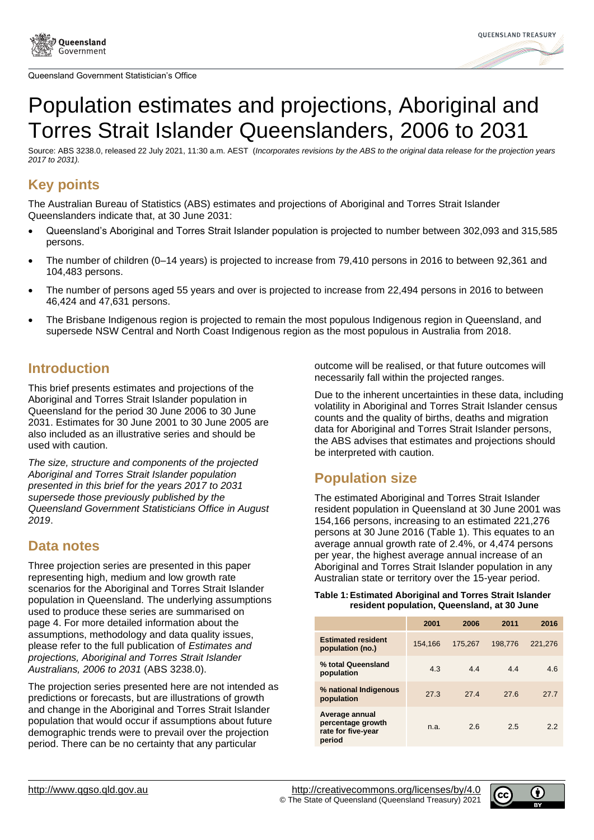



# Population estimates and projections, Aboriginal and Torres Strait Islander Queenslanders, 2006 to 2031

Source: ABS 3238.0, released 22 July 2021, 11:30 a.m. AEST (*Incorporates revisions by the ABS to the original data release for the projection years 2017 to 2031).*

# **Key points**

The Australian Bureau of Statistics (ABS) estimates and projections of Aboriginal and Torres Strait Islander Queenslanders indicate that, at 30 June 2031:

- Queensland's Aboriginal and Torres Strait Islander population is projected to number between 302,093 and 315,585 persons.
- The number of children (0–14 years) is projected to increase from 79,410 persons in 2016 to between 92,361 and 104,483 persons.
- The number of persons aged 55 years and over is projected to increase from 22,494 persons in 2016 to between 46,424 and 47,631 persons.
- The Brisbane Indigenous region is projected to remain the most populous Indigenous region in Queensland, and supersede NSW Central and North Coast Indigenous region as the most populous in Australia from 2018.

### **Introduction**

This brief presents estimates and projections of the Aboriginal and Torres Strait Islander population in Queensland for the period 30 June 2006 to 30 June 2031. Estimates for 30 June 2001 to 30 June 2005 are also included as an illustrative series and should be used with caution.

*The size, structure and components of the projected Aboriginal and Torres Strait Islander population presented in this brief for the years 2017 to 2031 supersede those previously published by the Queensland Government Statisticians Office in August 2019*.

### **Data notes**

Three projection series are presented in this paper representing high, medium and low growth rate scenarios for the Aboriginal and Torres Strait Islander population in Queensland. The underlying assumptions used to produce these series are summarised on page 4. For more detailed information about the assumptions, methodology and data quality issues, please refer to the full publication of *Estimates and projections, Aboriginal and Torres Strait Islander Australians, 2006 to 2031* (ABS 3238.0).

The projection series presented here are not intended as predictions or forecasts, but are illustrations of growth and change in the Aboriginal and Torres Strait Islander population that would occur if assumptions about future demographic trends were to prevail over the projection period. There can be no certainty that any particular

outcome will be realised, or that future outcomes will necessarily fall within the projected ranges.

Due to the inherent uncertainties in these data, including volatility in Aboriginal and Torres Strait Islander census counts and the quality of births, deaths and migration data for Aboriginal and Torres Strait Islander persons, the ABS advises that estimates and projections should be interpreted with caution.

# **Population size**

The estimated Aboriginal and Torres Strait Islander resident population in Queensland at 30 June 2001 was 154,166 persons, increasing to an estimated 221,276 persons at 30 June 2016 [\(Table 1\)](#page-0-0). This equates to an average annual growth rate of 2.4%, or 4,474 persons per year, the highest average annual increase of an Aboriginal and Torres Strait Islander population in any Australian state or territory over the 15-year period.

### <span id="page-0-0"></span>**Table 1:Estimated Aboriginal and Torres Strait Islander resident population, Queensland, at 30 June**

|                                                                     | 2001    | 2006    | 2011    | 2016    |
|---------------------------------------------------------------------|---------|---------|---------|---------|
| <b>Estimated resident</b><br>population (no.)                       | 154.166 | 175.267 | 198.776 | 221.276 |
| % total Queensland<br>population                                    | 4.3     | 4.4     | 4.4     | 4.6     |
| % national Indigenous<br>population                                 | 27.3    | 27.4    | 27.6    | 27.7    |
| Average annual<br>percentage growth<br>rate for five-year<br>period | n.a.    | 2.6     | 2.5     | 2.2     |

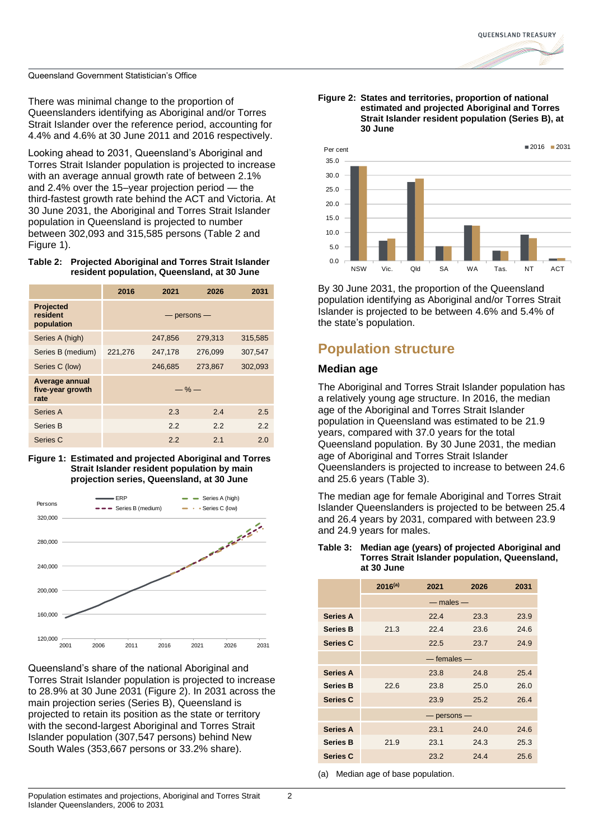There was minimal change to the proportion of Queenslanders identifying as Aboriginal and/or Torres Strait Islander over the reference period, accounting for 4.4% and 4.6% at 30 June 2011 and 2016 respectively.

Looking ahead to 2031, Queensland's Aboriginal and Torres Strait Islander population is projected to increase with an average annual growth rate of between 2.1% and 2.4% over the 15–year projection period — the third-fastest growth rate behind the ACT and Victoria. At 30 June 2031, the Aboriginal and Torres Strait Islander population in Queensland is projected to number between 302,093 and 315,585 persons [\(Table 2](#page-1-0) and [Figure 1\)](#page-1-1).

### <span id="page-1-0"></span>**Table 2: Projected Aboriginal and Torres Strait Islander resident population, Queensland, at 30 June**

|                                            | 2016    | 2021            | 2026    | 2031    |
|--------------------------------------------|---------|-----------------|---------|---------|
| <b>Projected</b><br>resident<br>population |         | $-$ persons $-$ |         |         |
| Series A (high)                            |         | 247,856         | 279,313 | 315,585 |
| Series B (medium)                          | 221,276 | 247,178         | 276,099 | 307,547 |
| Series C (low)                             |         | 246,685         | 273,867 | 302,093 |
| Average annual<br>five-year growth<br>rate |         | $-\%$ —         |         |         |
| Series A                                   |         | 2.3             | 2.4     | 2.5     |
| Series B                                   |         | 2.2             | 2.2     | 2.2     |
| Series C                                   |         | 2.2             | 2.1     | 2.0     |

<span id="page-1-1"></span>



Queensland's share of the national Aboriginal and Torres Strait Islander population is projected to increase to 28.9% at 30 June 2031 [\(Figure 2\)](#page-1-2). In 2031 across the main projection series (Series B), Queensland is projected to retain its position as the state or territory with the second-largest Aboriginal and Torres Strait Islander population (307,547 persons) behind New South Wales (353,667 persons or 33.2% share).

<span id="page-1-2"></span>



By 30 June 2031, the proportion of the Queensland population identifying as Aboriginal and/or Torres Strait Islander is projected to be between 4.6% and 5.4% of the state's population.

## **Population structure**

### **Median age**

The Aboriginal and Torres Strait Islander population has a relatively young age structure. In 2016, the median age of the Aboriginal and Torres Strait Islander population in Queensland was estimated to be 21.9 years, compared with 37.0 years for the total Queensland population. By 30 June 2031, the median age of Aboriginal and Torres Strait Islander Queenslanders is projected to increase to between 24.6 and 25.6 years [\(Table 3\)](#page-1-3).

The median age for female Aboriginal and Torres Strait Islander Queenslanders is projected to be between 25.4 and 26.4 years by 2031, compared with between 23.9 and 24.9 years for males.

### <span id="page-1-3"></span>**Table 3: Median age (years) of projected Aboriginal and Torres Strait Islander population, Queensland, at 30 June**

|                 | $2016^{(a)}$ | 2021            | 2026 | 2031 |
|-----------------|--------------|-----------------|------|------|
|                 |              | $-$ males $-$   |      |      |
| <b>Series A</b> |              | 22.4            | 23.3 | 23.9 |
| Series B        | 21.3         | 22.4            | 23.6 | 24.6 |
| <b>Series C</b> |              | 22.5            | 23.7 | 24.9 |
|                 |              | $-$ females $-$ |      |      |
| <b>Series A</b> |              | 23.8            | 24.8 | 25.4 |
| <b>Series B</b> | 22.6         | 23.8            | 25.0 | 26.0 |
| <b>Series C</b> |              | 23.9            | 25.2 | 26.4 |
|                 |              | $-$ persons $-$ |      |      |
| <b>Series A</b> |              | 23.1            | 24.0 | 24.6 |
| <b>Series B</b> | 21.9         | 23.1            | 24.3 | 25.3 |
| <b>Series C</b> |              | 23.2            | 24.4 | 25.6 |

(a) Median age of base population.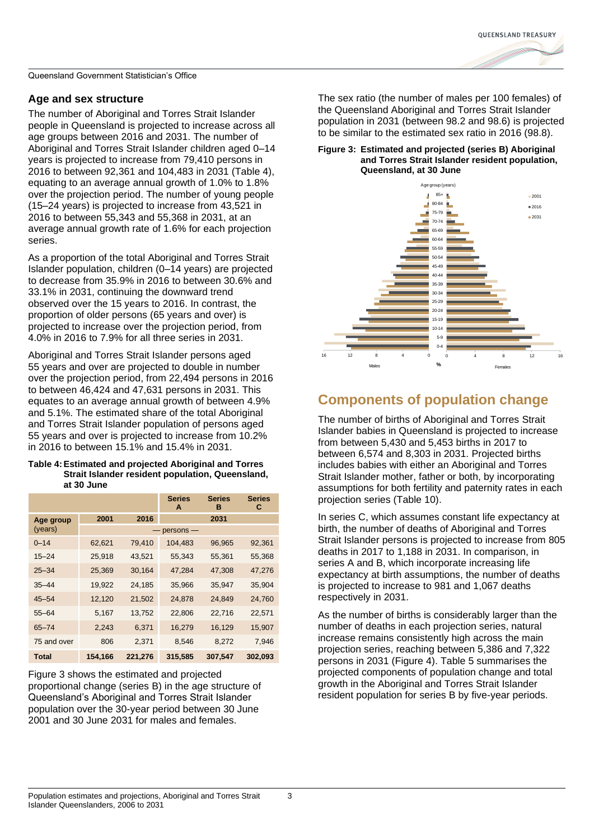

### **Age and sex structure**

The number of Aboriginal and Torres Strait Islander people in Queensland is projected to increase across all age groups between 2016 and 2031. The number of Aboriginal and Torres Strait Islander children aged 0–14 years is projected to increase from 79,410 persons in 2016 to between 92,361 and 104,483 in 2031 [\(Table 4\)](#page-2-0), equating to an average annual growth of 1.0% to 1.8% over the projection period. The number of young people (15–24 years) is projected to increase from 43,521 in 2016 to between 55,343 and 55,368 in 2031, at an average annual growth rate of 1.6% for each projection series.

As a proportion of the total Aboriginal and Torres Strait Islander population, children (0–14 years) are projected to decrease from 35.9% in 2016 to between 30.6% and 33.1% in 2031, continuing the downward trend observed over the 15 years to 2016. In contrast, the proportion of older persons (65 years and over) is projected to increase over the projection period, from 4.0% in 2016 to 7.9% for all three series in 2031.

Aboriginal and Torres Strait Islander persons aged 55 years and over are projected to double in number over the projection period, from 22,494 persons in 2016 to between 46,424 and 47,631 persons in 2031. This equates to an average annual growth of between 4.9% and 5.1%. The estimated share of the total Aboriginal and Torres Strait Islander population of persons aged 55 years and over is projected to increase from 10.2% in 2016 to between 15.1% and 15.4% in 2031.

### <span id="page-2-0"></span>**Table 4:Estimated and projected Aboriginal and Torres Strait Islander resident population, Queensland, at 30 June**

|              |         |         | <b>Series</b><br>A | <b>Series</b><br>в | <b>Series</b><br>С |
|--------------|---------|---------|--------------------|--------------------|--------------------|
| Age group    | 2001    | 2016    |                    | 2031               |                    |
| (years)      |         |         | $persons -$        |                    |                    |
| $0 - 14$     | 62,621  | 79,410  | 104,483            | 96,965             | 92,361             |
| $15 - 24$    | 25,918  | 43,521  | 55,343             | 55,361             | 55,368             |
| $25 - 34$    | 25,369  | 30,164  | 47,284             | 47,308             | 47,276             |
| $35 - 44$    | 19,922  | 24,185  | 35,966             | 35,947             | 35,904             |
| $45 - 54$    | 12,120  | 21,502  | 24,878             | 24,849             | 24,760             |
| $55 - 64$    | 5,167   | 13,752  | 22,806             | 22,716             | 22,571             |
| $65 - 74$    | 2,243   | 6,371   | 16,279             | 16,129             | 15,907             |
| 75 and over  | 806     | 2,371   | 8,546              | 8,272              | 7,946              |
| <b>Total</b> | 154,166 | 221,276 | 315,585            | 307,547            | 302,093            |

[Figure 3](#page-2-1) shows the estimated and projected proportional change (series B) in the age structure of Queensland's Aboriginal and Torres Strait Islander population over the 30-year period between 30 June 2001 and 30 June 2031 for males and females.

The sex ratio (the number of males per 100 females) of the Queensland Aboriginal and Torres Strait Islander population in 2031 (between 98.2 and 98.6) is projected to be similar to the estimated sex ratio in 2016 (98.8).

### <span id="page-2-1"></span>**Figure 3: Estimated and projected (series B) Aboriginal and Torres Strait Islander resident population, Queensland, at 30 June**



# **Components of population change**

The number of births of Aboriginal and Torres Strait Islander babies in Queensland is projected to increase from between 5,430 and 5,453 births in 2017 to between 6,574 and 8,303 in 2031. Projected births includes babies with either an Aboriginal and Torres Strait Islander mother, father or both, by incorporating assumptions for both fertility and paternity rates in each projection series [\(Table 10\)](#page-4-0).

In series C, which assumes constant life expectancy at birth, the number of deaths of Aboriginal and Torres Strait Islander persons is projected to increase from 805 deaths in 2017 to 1,188 in 2031. In comparison, in series A and B, which incorporate increasing life expectancy at birth assumptions, the number of deaths is projected to increase to 981 and 1,067 deaths respectively in 2031.

As the number of births is considerably larger than the number of deaths in each projection series, natural increase remains consistently high across the main projection series, reaching between 5,386 and 7,322 persons in 2031 [\(Figure 4\)](#page-3-0). [Table 5](#page-3-1) summarises the projected components of population change and total growth in the Aboriginal and Torres Strait Islander resident population for series B by five-year periods.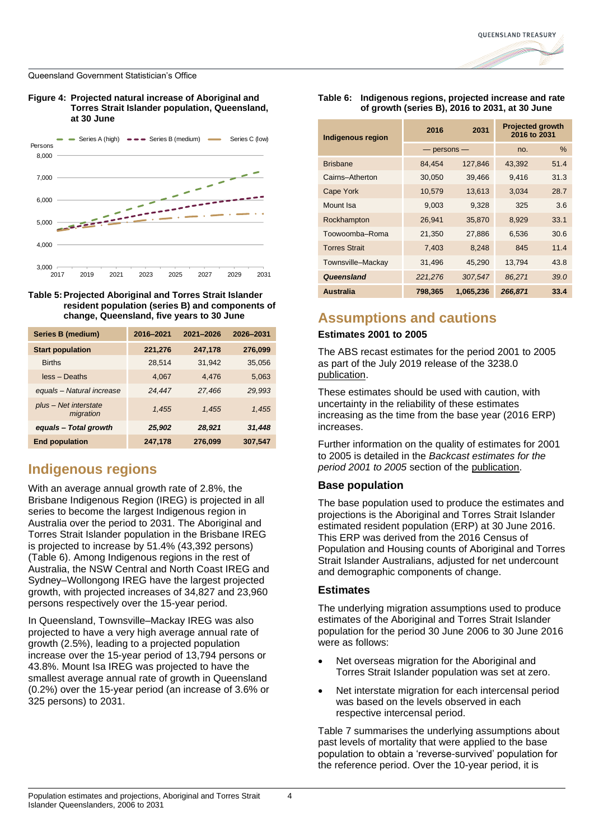### <span id="page-3-0"></span>**Figure 4: Projected natural increase of Aboriginal and Torres Strait Islander population, Queensland, at 30 June**



<span id="page-3-1"></span>

| Series B (medium)                  | 2016-2021 | 2021-2026 | 2026-2031 |
|------------------------------------|-----------|-----------|-----------|
| <b>Start population</b>            | 221,276   | 247,178   | 276,099   |
| <b>Births</b>                      | 28,514    | 31,942    | 35,056    |
| less - Deaths                      | 4.067     | 4.476     | 5,063     |
| equals - Natural increase          | 24.447    | 27.466    | 29.993    |
| plus - Net interstate<br>migration | 1.455     | 1.455     | 1.455     |
| equals - Total growth              | 25,902    | 28,921    | 31,448    |
| <b>End population</b>              | 247,178   | 276,099   | 307,547   |

# **Indigenous regions**

With an average annual growth rate of 2.8%, the Brisbane Indigenous Region (IREG) is projected in all series to become the largest Indigenous region in Australia over the period to 2031. The Aboriginal and Torres Strait Islander population in the Brisbane IREG is projected to increase by 51.4% (43,392 persons) [\(Table 6\)](#page-3-2). Among Indigenous regions in the rest of Australia, the NSW Central and North Coast IREG and Sydney–Wollongong IREG have the largest projected growth, with projected increases of 34,827 and 23,960 persons respectively over the 15-year period.

In Queensland, Townsville–Mackay IREG was also projected to have a very high average annual rate of growth (2.5%), leading to a projected population increase over the 15-year period of 13,794 persons or 43.8%. Mount Isa IREG was projected to have the smallest average annual rate of growth in Queensland (0.2%) over the 15-year period (an increase of 3.6% or 325 persons) to 2031.

### <span id="page-3-2"></span>**Table 6: Indigenous regions, projected increase and rate of growth (series B), 2016 to 2031, at 30 June**

| Indigenous region    | 2016            | 2031      | <b>Projected growth</b><br>2016 to 2031 |      |
|----------------------|-----------------|-----------|-----------------------------------------|------|
|                      | $-$ persons $-$ |           | no.                                     | $\%$ |
| <b>Brisbane</b>      | 84,454          | 127,846   | 43,392                                  | 51.4 |
| Cairns-Atherton      | 30,050          | 39,466    | 9.416                                   | 31.3 |
| <b>Cape York</b>     | 10,579          | 13,613    | 3.034                                   | 28.7 |
| Mount Isa            | 9,003           | 9.328     | 325                                     | 3.6  |
| Rockhampton          | 26,941          | 35.870    | 8,929                                   | 33.1 |
| Toowoomba-Roma       | 21,350          | 27,886    | 6,536                                   | 30.6 |
| <b>Torres Strait</b> | 7,403           | 8,248     | 845                                     | 11.4 |
| Townsville-Mackay    | 31,496          | 45,290    | 13,794                                  | 43.8 |
| Queensland           | 221,276         | 307,547   | 86,271                                  | 39.0 |
| <b>Australia</b>     | 798,365         | 1,065,236 | 266,871                                 | 33.4 |

### **Assumptions and cautions**

### **Estimates 2001 to 2005**

The ABS recast estimates for the period 2001 to 2005 as part of the July 2019 release of the 3238.0 [publication.](https://www.abs.gov.au/ausstats/abs@.nsf/mf/3238.0)

These estimates should be used with caution, with uncertainty in the reliability of these estimates increasing as the time from the base year (2016 ERP) increases.

Further information on the quality of estimates for 2001 to 2005 is detailed in the *Backcast estimates for the period 2001 to 2005* section of the [publication.](https://www.abs.gov.au/AUSSTATS/abs@.nsf/Latestproducts/3238.0Main%20Features922006%20to%202031?opendocument&tabname=Summary&prodno=3238.0&issue=2006%20to%202031&num=&view=)

### **Base population**

The base population used to produce the estimates and projections is the Aboriginal and Torres Strait Islander estimated resident population (ERP) at 30 June 2016. This ERP was derived from the 2016 Census of Population and Housing counts of Aboriginal and Torres Strait Islander Australians, adjusted for net undercount and demographic components of change.

### **Estimates**

The underlying migration assumptions used to produce estimates of the Aboriginal and Torres Strait Islander population for the period 30 June 2006 to 30 June 2016 were as follows:

- Net overseas migration for the Aboriginal and Torres Strait Islander population was set at zero.
- Net interstate migration for each intercensal period was based on the levels observed in each respective intercensal period.

[Table 7](#page-4-1) summarises the underlying assumptions about past levels of mortality that were applied to the base population to obtain a 'reverse-survived' population for the reference period. Over the 10-year period, it is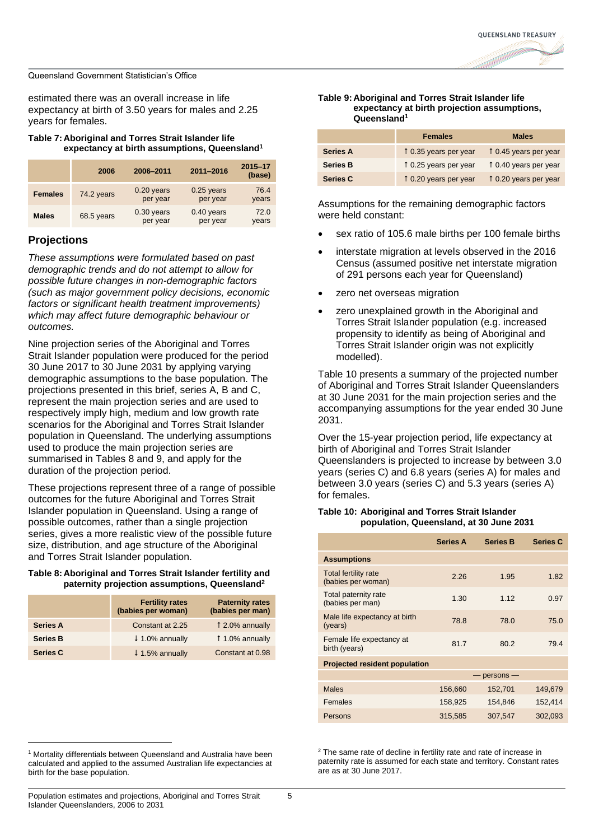estimated there was an overall increase in life expectancy at birth of 3.50 years for males and 2.25 years for females.

### <span id="page-4-1"></span>**Table 7: Aboriginal and Torres Strait Islander life expectancy at birth assumptions, Queensland<sup>1</sup>**

|                | 2006       | 2006-2011                | 2011-2016                | 2015-17<br>(base) |
|----------------|------------|--------------------------|--------------------------|-------------------|
| <b>Females</b> | 74.2 years | $0.20$ years<br>per year | $0.25$ years<br>per year | 76.4<br>years     |
| <b>Males</b>   | 68.5 years | $0.30$ years<br>per year | $0.40$ years<br>per year | 72.0<br>years     |

### **Projections**

*These assumptions were formulated based on past demographic trends and do not attempt to allow for possible future changes in non-demographic factors (such as major government policy decisions, economic factors or significant health treatment improvements) which may affect future demographic behaviour or outcomes.* 

Nine projection series of the Aboriginal and Torres Strait Islander population were produced for the period 30 June 2017 to 30 June 2031 by applying varying demographic assumptions to the base population. The projections presented in this brief, series A, B and C, represent the main projection series and are used to respectively imply high, medium and low growth rate scenarios for the Aboriginal and Torres Strait Islander population in Queensland. The underlying assumptions used to produce the main projection series are summarised in Tables 8 and 9, and apply for the duration of the projection period.

These projections represent three of a range of possible outcomes for the future Aboriginal and Torres Strait Islander population in Queensland. Using a range of possible outcomes, rather than a single projection series, gives a more realistic view of the possible future size, distribution, and age structure of the Aboriginal and Torres Strait Islander population.

### **Table 8: Aboriginal and Torres Strait Islander fertility and paternity projection assumptions, Queensland<sup>2</sup>**

|                 | <b>Fertility rates</b><br>(babies per woman) | <b>Paternity rates</b><br>(babies per man) |
|-----------------|----------------------------------------------|--------------------------------------------|
| <b>Series A</b> | Constant at 2.25                             | 1 2.0% annually                            |
| <b>Series B</b> | $\downarrow$ 1.0% annually                   | 1.0% annually                              |
| <b>Series C</b> | $\downarrow$ 1.5% annually                   | Constant at 0.98                           |

#### **Table 9: Aboriginal and Torres Strait Islander life expectancy at birth projection assumptions, Queensland[1](#page-4-2)**

<span id="page-4-2"></span>

|                 | <b>Females</b>       | <b>Males</b>         |
|-----------------|----------------------|----------------------|
| <b>Series A</b> | 10.35 years per year | 10.45 years per year |
| <b>Series B</b> | 10.25 years per year | 10.40 years per year |
| <b>Series C</b> | 10.20 years per year | 10.20 years per year |

Assumptions for the remaining demographic factors were held constant:

- sex ratio of 105.6 male births per 100 female births
- interstate migration at levels observed in the 2016 Census (assumed positive net interstate migration of 291 persons each year for Queensland)
- zero net overseas migration
- zero unexplained growth in the Aboriginal and Torres Strait Islander population (e.g. increased propensity to identify as being of Aboriginal and Torres Strait Islander origin was not explicitly modelled)[.](#page-4-3)

[Table](#page-4-3) 10 presents a summary of the projected number of Aboriginal and Torres Strait Islander Queenslanders at 30 June 2031 for the main projection series and the accompanying assumptions for the year ended 30 June 2031.

Over the 15-year projection period, life expectancy at birth of Aboriginal and Torres Strait Islander Queenslanders is projected to increase by between 3.0 years (series C) and 6.8 years (series A) for males and between 3.0 years (series C) and 5.3 years (series A) for females.

#### <span id="page-4-3"></span><span id="page-4-0"></span>**Table 10: Aboriginal and Torres Strait Islander population, Queensland, at 30 June 2031**

|                                            | <b>Series A</b> | <b>Series B</b>  | <b>Series C</b> |
|--------------------------------------------|-----------------|------------------|-----------------|
| <b>Assumptions</b>                         |                 |                  |                 |
| Total fertility rate<br>(babies per woman) | 2.26            | 1.95             | 1.82            |
| Total paternity rate<br>(babies per man)   | 1.30            | 1.12             | 0.97            |
| Male life expectancy at birth<br>(years)   | 78.8            | 78.0             | 75.0            |
| Female life expectancy at<br>birth (years) | 81.7            | 80.2             | 79.4            |
| <b>Projected resident population</b>       |                 |                  |                 |
|                                            |                 | $persons -$<br>— |                 |
| <b>Males</b>                               | 156,660         | 152,701          | 149.679         |
| <b>Females</b>                             | 158,925         | 154,846          | 152,414         |
| Persons                                    | 315,585         | 307,547          | 302,093         |

<sup>1</sup> Mortality differentials between Queensland and Australia have been calculated and applied to the assumed Australian life expectancies at birth for the base population.

 $2$  The same rate of decline in fertility rate and rate of increase in paternity rate is assumed for each state and territory. Constant rates are as at 30 June 2017.